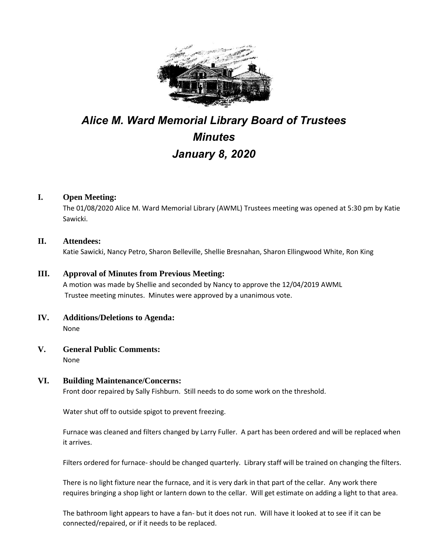

# *Alice M. Ward Memorial Library Board of Trustees Minutes January 8, 2020*

## **I. Open Meeting:**

The 01/08/2020 Alice M. Ward Memorial Library (AWML) Trustees meeting was opened at 5:30 pm by Katie Sawicki.

## **II. Attendees:**

Katie Sawicki, Nancy Petro, Sharon Belleville, Shellie Bresnahan, Sharon Ellingwood White, Ron King

## **III. Approval of Minutes from Previous Meeting:**

A motion was made by Shellie and seconded by Nancy to approve the 12/04/2019 AWML Trustee meeting minutes. Minutes were approved by a unanimous vote.

- **IV. Additions/Deletions to Agenda:** None
- **V. General Public Comments:**

None

# **VI. Building Maintenance/Concerns:**

Front door repaired by Sally Fishburn. Still needs to do some work on the threshold.

Water shut off to outside spigot to prevent freezing.

Furnace was cleaned and filters changed by Larry Fuller. A part has been ordered and will be replaced when it arrives.

Filters ordered for furnace- should be changed quarterly. Library staff will be trained on changing the filters.

There is no light fixture near the furnace, and it is very dark in that part of the cellar. Any work there requires bringing a shop light or lantern down to the cellar. Will get estimate on adding a light to that area.

The bathroom light appears to have a fan- but it does not run. Will have it looked at to see if it can be connected/repaired, or if it needs to be replaced.